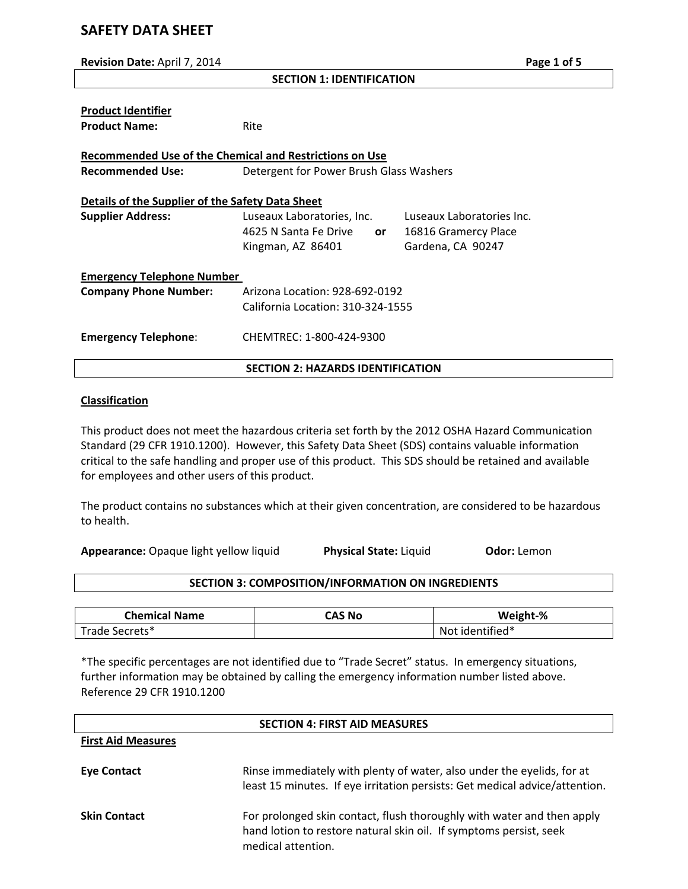# **SAFETY DATA SHEET**

| Revision Date: April 7, 2014                                                  |                                                           |                      | Page 1 of 5 |
|-------------------------------------------------------------------------------|-----------------------------------------------------------|----------------------|-------------|
|                                                                               | <b>SECTION 1: IDENTIFICATION</b>                          |                      |             |
| <b>Product Identifier</b><br><b>Product Name:</b>                             | Rite                                                      |                      |             |
| <b>Recommended Use of the Chemical and Restrictions on Use</b>                |                                                           |                      |             |
| <b>Recommended Use:</b>                                                       | Detergent for Power Brush Glass Washers                   |                      |             |
| Details of the Supplier of the Safety Data Sheet<br>Luseaux Laboratories Inc. |                                                           |                      |             |
| <b>Supplier Address:</b>                                                      | Luseaux Laboratories, Inc.<br>4625 N Santa Fe Drive<br>or | 16816 Gramercy Place |             |
|                                                                               | Kingman, AZ 86401                                         | Gardena, CA 90247    |             |
| <b>Emergency Telephone Number</b>                                             |                                                           |                      |             |
| <b>Company Phone Number:</b>                                                  | Arizona Location: 928-692-0192                            |                      |             |
|                                                                               | California Location: 310-324-1555                         |                      |             |
| <b>Emergency Telephone:</b>                                                   | CHEMTREC: 1-800-424-9300                                  |                      |             |
|                                                                               | <b>SECTION 2: HAZARDS IDENTIFICATION</b>                  |                      |             |

# **Classification**

This product does not meet the hazardous criteria set forth by the 2012 OSHA Hazard Communication Standard (29 CFR 1910.1200). However, this Safety Data Sheet (SDS) contains valuable information critical to the safe handling and proper use of this product. This SDS should be retained and available for employees and other users of this product.

The product contains no substances which at their given concentration, are considered to be hazardous to health.

**Appearance:** Opaque light yellow liquid **Physical State:** Liquid **Odor:** Lemon

# **SECTION 3: COMPOSITION/INFORMATION ON INGREDIENTS**

| <b>Chemical Name</b>  | CAS No | Weight-%           |
|-----------------------|--------|--------------------|
| Secrets* .<br>Trade L |        | identified*<br>N∩t |

\*The specific percentages are not identified due to "Trade Secret" status. In emergency situations, further information may be obtained by calling the emergency information number listed above. Reference 29 CFR 1910.1200

| <b>SECTION 4: FIRST AID MEASURES</b> |                                                                                                                                                                    |
|--------------------------------------|--------------------------------------------------------------------------------------------------------------------------------------------------------------------|
| <b>First Aid Measures</b>            |                                                                                                                                                                    |
| Eye Contact                          | Rinse immediately with plenty of water, also under the eyelids, for at<br>least 15 minutes. If eye irritation persists: Get medical advice/attention.              |
| <b>Skin Contact</b>                  | For prolonged skin contact, flush thoroughly with water and then apply<br>hand lotion to restore natural skin oil. If symptoms persist, seek<br>medical attention. |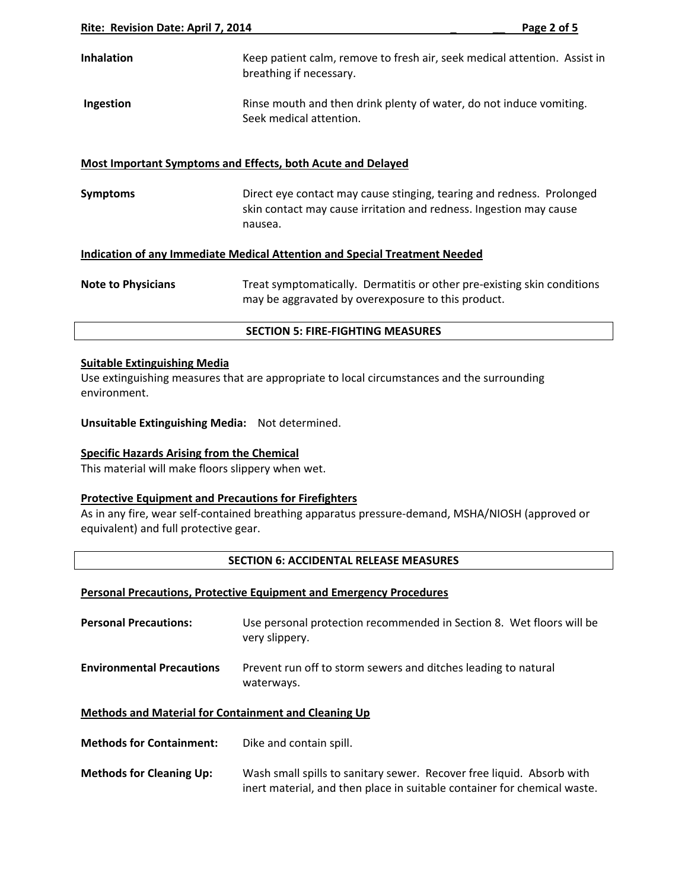| <b>Inhalation</b> | Keep patient calm, remove to fresh air, seek medical attention. Assist in<br>breathing if necessary. |
|-------------------|------------------------------------------------------------------------------------------------------|
| Ingestion         | Rinse mouth and then drink plenty of water, do not induce vomiting.<br>Seek medical attention.       |

# **Most Important Symptoms and Effects, both Acute and Delayed**

**Symptoms Direct eye contact may cause stinging, tearing and redness. Prolonged** skin contact may cause irritation and redness. Ingestion may cause nausea.

### **Indication of any Immediate Medical Attention and Special Treatment Needed**

| <b>Note to Physicians</b> | Treat symptomatically. Dermatitis or other pre-existing skin conditions |
|---------------------------|-------------------------------------------------------------------------|
|                           | may be aggravated by overexposure to this product.                      |

#### **SECTION 5: FIRE‐FIGHTING MEASURES**

#### **Suitable Extinguishing Media**

Use extinguishing measures that are appropriate to local circumstances and the surrounding environment.

**Unsuitable Extinguishing Media:** Not determined.

### **Specific Hazards Arising from the Chemical**

This material will make floors slippery when wet.

### **Protective Equipment and Precautions for Firefighters**

As in any fire, wear self‐contained breathing apparatus pressure‐demand, MSHA/NIOSH (approved or equivalent) and full protective gear.

#### **SECTION 6: ACCIDENTAL RELEASE MEASURES**

### **Personal Precautions, Protective Equipment and Emergency Procedures**

| <b>Personal Precautions:</b>                                | Use personal protection recommended in Section 8. Wet floors will be<br>very slippery. |
|-------------------------------------------------------------|----------------------------------------------------------------------------------------|
| <b>Environmental Precautions</b>                            | Prevent run off to storm sewers and ditches leading to natural<br>waterways.           |
| <b>Methods and Material for Containment and Cleaning Up</b> |                                                                                        |

- **Methods for Containment:** Dike and contain spill.
- **Methods for Cleaning Up:** Wash small spills to sanitary sewer. Recover free liquid. Absorb with inert material, and then place in suitable container for chemical waste.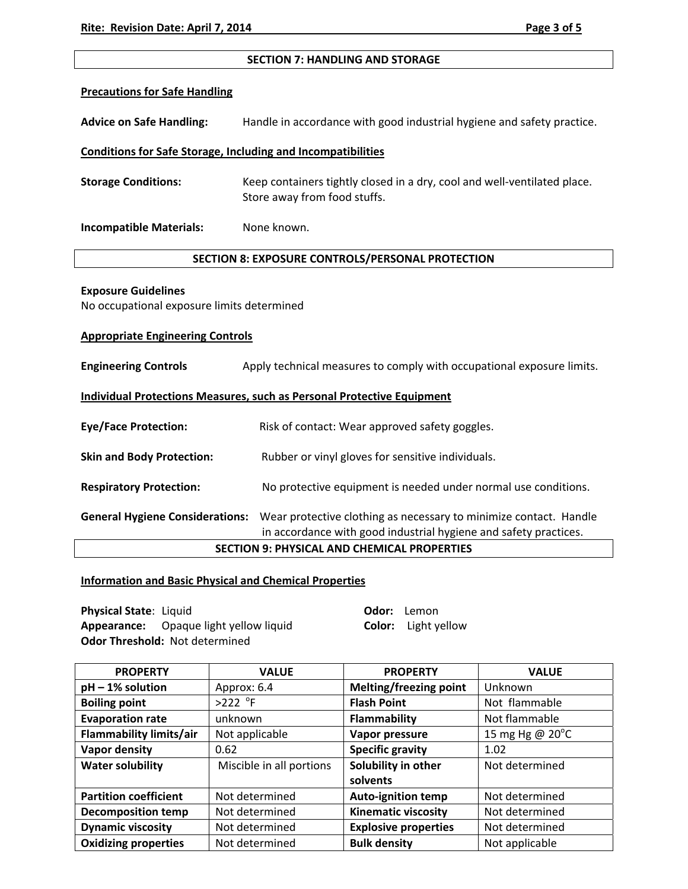### **SECTION 7: HANDLING AND STORAGE**

### **Precautions for Safe Handling**

**Advice on Safe Handling:** Handle in accordance with good industrial hygiene and safety practice.

# **Conditions for Safe Storage, Including and Incompatibilities**

**Storage Conditions:** Keep containers tightly closed in a dry, cool and well‐ventilated place. Store away from food stuffs.

**Incompatible Materials:** None known.

# **SECTION 8: EXPOSURE CONTROLS/PERSONAL PROTECTION**

### **Exposure Guidelines**

No occupational exposure limits determined

### **Appropriate Engineering Controls**

| <b>Engineering Controls</b>                                                                                                                                                     | Apply technical measures to comply with occupational exposure limits. |  |
|---------------------------------------------------------------------------------------------------------------------------------------------------------------------------------|-----------------------------------------------------------------------|--|
| Individual Protections Measures, such as Personal Protective Equipment                                                                                                          |                                                                       |  |
| <b>Eye/Face Protection:</b>                                                                                                                                                     | Risk of contact: Wear approved safety goggles.                        |  |
| <b>Skin and Body Protection:</b>                                                                                                                                                | Rubber or vinyl gloves for sensitive individuals.                     |  |
| <b>Respiratory Protection:</b>                                                                                                                                                  | No protective equipment is needed under normal use conditions.        |  |
| Wear protective clothing as necessary to minimize contact. Handle<br><b>General Hygiene Considerations:</b><br>in accordance with good industrial hygiene and safety practices. |                                                                       |  |
| <b>SECTION 9: PHYSICAL AND CHEMICAL PROPERTIES</b>                                                                                                                              |                                                                       |  |

# **Information and Basic Physical and Chemical Properties**

**Physical State**: Liquid **Odor:** Lemon **Appearance:** Opaque light yellow liquid **Color:** Light yellow **Odor Threshold:** Not determined

| <b>PROPERTY</b>                | <b>VALUE</b>             | <b>PROPERTY</b>             | <b>VALUE</b>              |
|--------------------------------|--------------------------|-----------------------------|---------------------------|
| $pH - 1%$ solution             | Approx: 6.4              | Melting/freezing point      | Unknown                   |
| <b>Boiling point</b>           | $>222$ °F                | <b>Flash Point</b>          | Not flammable             |
| <b>Evaporation rate</b>        | unknown                  | Flammability                | Not flammable             |
| <b>Flammability limits/air</b> | Not applicable           | Vapor pressure              | 15 mg Hg @ $20^{\circ}$ C |
| Vapor density                  | 0.62                     | <b>Specific gravity</b>     | 1.02                      |
| <b>Water solubility</b>        | Miscible in all portions | Solubility in other         | Not determined            |
|                                |                          | solvents                    |                           |
| <b>Partition coefficient</b>   | Not determined           | <b>Auto-ignition temp</b>   | Not determined            |
| <b>Decomposition temp</b>      | Not determined           | <b>Kinematic viscosity</b>  | Not determined            |
| <b>Dynamic viscosity</b>       | Not determined           | <b>Explosive properties</b> | Not determined            |
| <b>Oxidizing properties</b>    | Not determined           | <b>Bulk density</b>         | Not applicable            |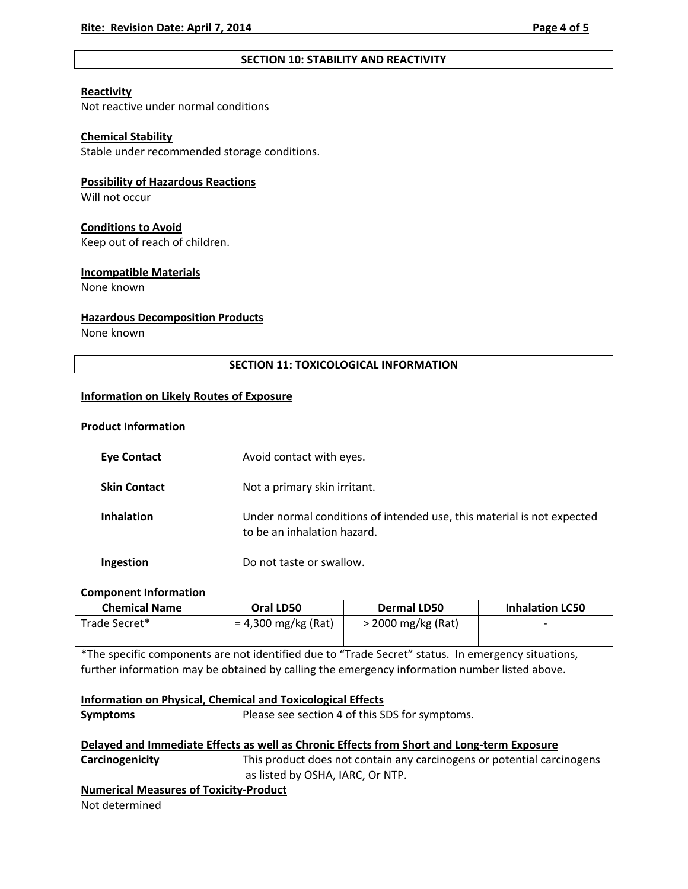# **SECTION 10: STABILITY AND REACTIVITY**

# **Reactivity**

Not reactive under normal conditions

# **Chemical Stability**

Stable under recommended storage conditions.

# **Possibility of Hazardous Reactions**

Will not occur

# **Conditions to Avoid**

Keep out of reach of children.

# **Incompatible Materials**

None known

# **Hazardous Decomposition Products**

None known

# **SECTION 11: TOXICOLOGICAL INFORMATION**

# **Information on Likely Routes of Exposure**

# **Product Information**

| <b>Eye Contact</b>  | Avoid contact with eyes.                                                                              |
|---------------------|-------------------------------------------------------------------------------------------------------|
| <b>Skin Contact</b> | Not a primary skin irritant.                                                                          |
| <b>Inhalation</b>   | Under normal conditions of intended use, this material is not expected<br>to be an inhalation hazard. |
| <b>Ingestion</b>    | Do not taste or swallow.                                                                              |

### **Component Information**

| <b>Chemical Name</b> | Oral LD50             | Dermal LD50        | <b>Inhalation LC50</b>   |
|----------------------|-----------------------|--------------------|--------------------------|
| Trade Secret*        | $= 4,300$ mg/kg (Rat) | > 2000 mg/kg (Rat) | $\overline{\phantom{0}}$ |
|                      |                       |                    |                          |

\*The specific components are not identified due to "Trade Secret" status. In emergency situations, further information may be obtained by calling the emergency information number listed above.

| Information on Physical, Chemical and Toxicological Effects |                                                                                            |
|-------------------------------------------------------------|--------------------------------------------------------------------------------------------|
| <b>Symptoms</b>                                             | Please see section 4 of this SDS for symptoms.                                             |
|                                                             | Delayed and Immediate Effects as well as Chronic Effects from Short and Long-term Exposure |

**Carcinogenicity** This product does not contain any carcinogens or potential carcinogens as listed by OSHA, IARC, Or NTP.

# **Numerical Measures of Toxicity‐Product**

Not determined